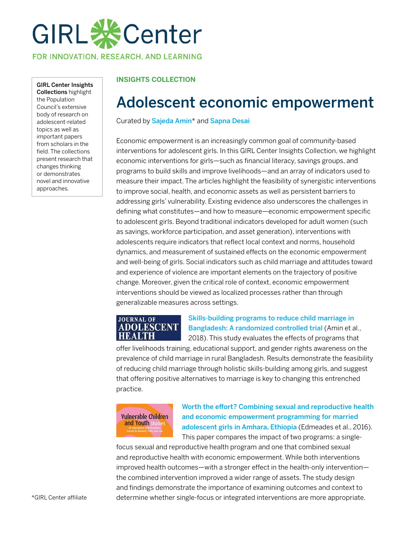

FOR INNOVATION, RESEARCH, AND LEARNING

GIRL Center Insights Collections highlight the Population Council's extensive body of research on adolescent-related topics as well as important papers from scholars in the field. The collections present research that changes thinking or demonstrates novel and innovative approaches.

#### **INSIGHTS COLLECTION**

## Adolescent economic empowerment

Curated by [Sajeda Amin](https://www.popcouncil.org/research/expert/sajeda-amin)\* and [Sapna Desai](https://www.popcouncil.org/research/expert/sapna-desai)

Economic empowerment is an increasingly common goal of community-based interventions for adolescent girls. In this GIRL Center Insights Collection, we highlight economic interventions for girls—such as financial literacy, savings groups, and programs to build skills and improve livelihoods—and an array of indicators used to measure their impact. The articles highlight the feasibility of synergistic interventions to improve social, health, and economic assets as well as persistent barriers to addressing girls' vulnerability. Existing evidence also underscores the challenges in defining what constitutes—and how to measure—economic empowerment specific to adolescent girls. Beyond traditional indicators developed for adult women (such as savings, workforce participation, and asset generation), interventions with adolescents require indicators that reflect local context and norms, household dynamics, and measurement of sustained effects on the economic empowerment and well-being of girls. Social indicators such as child marriage and attitudes toward and experience of violence are important elements on the trajectory of positive change. Moreover, given the critical role of context, economic empowerment interventions should be viewed as localized processes rather than through generalizable measures across settings.

#### **JOURNAL OF ADOLESCENT HEALTH**

#### [Skills-building programs to reduce child marriage in](https://www.jahonline.org/article/S1054-139X(18)30194-0/pdf)  [Bangladesh: A randomized controlled trial](https://www.jahonline.org/article/S1054-139X(18)30194-0/pdf) (Amin et al., 2018). This study evaluates the effects of programs that

offer livelihoods training, educational support, and gender rights awareness on the prevalence of child marriage in rural Bangladesh. Results demonstrate the feasibility of reducing child marriage through holistic skills-building among girls, and suggest that offering positive alternatives to marriage is key to changing this entrenched practice.



[Worth the effort? Combining sexual and reproductive health](https://www.tandfonline.com/doi/abs/10.1080/17450128.2016.1226529)  [and economic empowerment programming for married](https://www.tandfonline.com/doi/abs/10.1080/17450128.2016.1226529)  [adolescent girls in Amhara, Ethiopia](https://www.tandfonline.com/doi/abs/10.1080/17450128.2016.1226529) (Edmeades et al., 2016). This paper compares the impact of two programs: a single-

focus sexual and reproductive health program and one that combined sexual and reproductive health with economic empowerment. While both interventions improved health outcomes—with a stronger effect in the health-only intervention the combined intervention improved a wider range of assets. The study design and findings demonstrate the importance of examining outcomes and context to determine whether single-focus or integrated interventions are more appropriate.